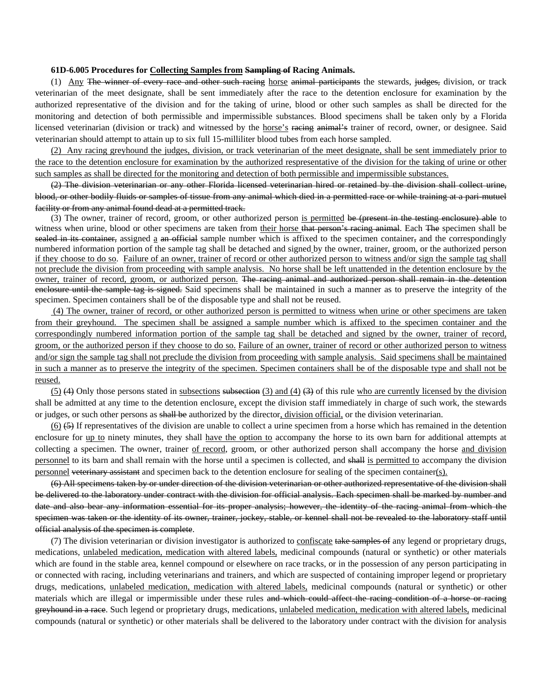## **61D-6.005 Procedures for Collecting Samples from Sampling of Racing Animals.**

(1) Any The winner of every race and other such racing horse animal participants the stewards, judges, division, or track veterinarian of the meet designate, shall be sent immediately after the race to the detention enclosure for examination by the authorized representative of the division and for the taking of urine, blood or other such samples as shall be directed for the monitoring and detection of both permissible and impermissible substances. Blood specimens shall be taken only by a Florida licensed veterinarian (division or track) and witnessed by the horse's racing animal's trainer of record, owner, or designee. Said veterinarian should attempt to attain up to six full 15-milliliter blood tubes from each horse sampled.

(2) Any racing greyhound the judges, division, or track veterinarian of the meet designate, shall be sent immediately prior to the race to the detention enclosure for examination by the authorized respresentative of the division for the taking of urine or other such samples as shall be directed for the monitoring and detection of both permissible and impermissible substances.

(2) The division veterinarian or any other Florida licensed veterinarian hired or retained by the division shall collect urine, blood, or other bodily fluids or samples of tissue from any animal which died in a permitted race or while training at a pari-mutuel facility or from any animal found dead at a permitted track.

(3) The owner, trainer of record, groom, or other authorized person is permitted be (present in the testing enclosure) able to witness when urine, blood or other specimens are taken from their horse that person's racing animal. Each The specimen shall be sealed in its container, assigned a an official sample number which is affixed to the specimen container, and the correspondingly numbered information portion of the sample tag shall be detached and signed by the owner, trainer, groom, or the authorized person if they choose to do so. Failure of an owner, trainer of record or other authorized person to witness and/or sign the sample tag shall not preclude the division from proceeding with sample analysis. No horse shall be left unattended in the detention enclosure by the owner, trainer of record, groom, or authorized person. The racing animal and authorized person shall remain in the detention enclosure until the sample tag is signed. Said specimens shall be maintained in such a manner as to preserve the integrity of the specimen. Specimen containers shall be of the disposable type and shall not be reused.

 (4) The owner, trainer of record, or other authorized person is permitted to witness when urine or other specimens are taken from their greyhound. The specimen shall be assigned a sample number which is affixed to the specimen container and the correspondingly numbered information portion of the sample tag shall be detached and signed by the owner, trainer of record, groom, or the authorized person if they choose to do so. Failure of an owner, trainer of record or other authorized person to witness and/or sign the sample tag shall not preclude the division from proceeding with sample analysis. Said specimens shall be maintained in such a manner as to preserve the integrity of the specimen. Specimen containers shall be of the disposable type and shall not be reused.

(5) (4) Only those persons stated in subsections subsection (3) and (4)  $(3)$  of this rule who are currently licensed by the division shall be admitted at any time to the detention enclosure, except the division staff immediately in charge of such work, the stewards or judges, or such other persons as shall be authorized by the director, division official, or the division veterinarian.

 $(6)$   $(5)$  If representatives of the division are unable to collect a urine specimen from a horse which has remained in the detention enclosure for up to ninety minutes, they shall have the option to accompany the horse to its own barn for additional attempts at collecting a specimen. The owner, trainer of record, groom, or other authorized person shall accompany the horse and division personnel to its barn and shall remain with the horse until a specimen is collected, and shall is permitted to accompany the division personnel veterinary assistant and specimen back to the detention enclosure for sealing of the specimen container(s).

(6) All specimens taken by or under direction of the division veterinarian or other authorized representative of the division shall be delivered to the laboratory under contract with the division for official analysis. Each specimen shall be marked by number and date and also bear any information essential for its proper analysis; however, the identity of the racing animal from which the specimen was taken or the identity of its owner, trainer, jockey, stable, or kennel shall not be revealed to the laboratory staff until official analysis of the specimen is complete.

(7) The division veterinarian or division investigator is authorized to confiscate take samples of any legend or proprietary drugs, medications, unlabeled medication, medication with altered labels, medicinal compounds (natural or synthetic) or other materials which are found in the stable area, kennel compound or elsewhere on race tracks, or in the possession of any person participating in or connected with racing, including veterinarians and trainers, and which are suspected of containing improper legend or proprietary drugs, medications, unlabeled medication, medication with altered labels, medicinal compounds (natural or synthetic) or other materials which are illegal or impermissible under these rules and which could affect the racing condition of a horse or racing greyhound in a race. Such legend or proprietary drugs, medications, unlabeled medication, medication with altered labels, medicinal compounds (natural or synthetic) or other materials shall be delivered to the laboratory under contract with the division for analysis